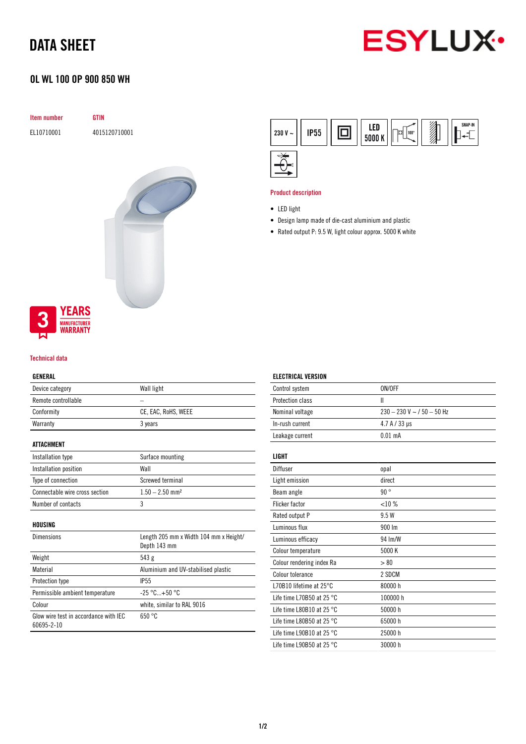# DATA SHEET



# OL WL 100 OP 900 850 WH

| Item number | <b>GTIN</b>   |
|-------------|---------------|
| EL10710001  | 4015120710001 |
|             |               |
|             |               |
|             |               |
|             |               |
|             |               |
|             |               |
|             |               |



**YEARS** 

## Technical data

# GENERAL

| Device category                                     | Wall light                                             |
|-----------------------------------------------------|--------------------------------------------------------|
| Remote controllable                                 |                                                        |
| Conformity                                          | CE, EAC, RoHS, WEEE                                    |
| Warranty                                            | 3 years                                                |
| ATTACHMENT                                          |                                                        |
| Installation type                                   | Surface mounting                                       |
| Installation position                               | Wall                                                   |
| Type of connection                                  | Screwed terminal                                       |
| Connectable wire cross section                      | $1.50 - 2.50$ mm <sup>2</sup>                          |
| Number of contacts                                  | 3                                                      |
| HOUSING                                             |                                                        |
| <b>Dimensions</b>                                   | Length 205 mm x Width 104 mm x Height/<br>Depth 143 mm |
| Weight                                              | 543 g                                                  |
| Material                                            | Aluminium and UV-stabilised plastic                    |
| Protection type                                     | <b>IP55</b>                                            |
| Permissible ambient temperature                     | $-25 °C+50 °C$                                         |
| Colour                                              | white, similar to RAL 9016                             |
| Glow wire test in accordance with IEC<br>60695-2-10 | 650 °C                                                 |



### Product description

ELECTRICAL VERSION

- LED light
- Design lamp made of die-cast aluminium and plastic
- Rated output P: 9.5 W, light colour approx. 5000 K white

| Control system                      | ON/OFF                       |
|-------------------------------------|------------------------------|
| Protection class                    | Ш                            |
| Nominal voltage                     | $230 - 230$ V ~ / 50 - 50 Hz |
| In-rush current                     | 4.7 A / 33 µs                |
| Leakage current                     | $0.01$ mA                    |
| LIGHT                               |                              |
| Diffuser                            | opal                         |
| Light emission                      | direct                       |
| Beam angle                          | 90°                          |
| <b>Flicker factor</b>               | $< 10 \%$                    |
| Rated output P                      | 9.5 W                        |
| Luminous flux                       | 900 Im                       |
| Luminous efficacy                   | 94 Im/W                      |
| Colour temperature                  | 5000 K                       |
| Colour rendering index Ra           | > 80                         |
| <b>Colour tolerance</b>             | 2 SDCM                       |
| L70B10 lifetime at 25°C             | 80000h                       |
| Life time L70B50 at 25 $^{\circ}$ C | 100000h                      |
| Life time L80B10 at 25 $^{\circ}$ C | 50000 h                      |
| Life time L80B50 at 25 $^{\circ}$ C | 65000h                       |
| Life time L90B10 at 25 $^{\circ}$ C | 25000 h                      |
| Life time L90B50 at 25 °C           | 30000h                       |
|                                     |                              |